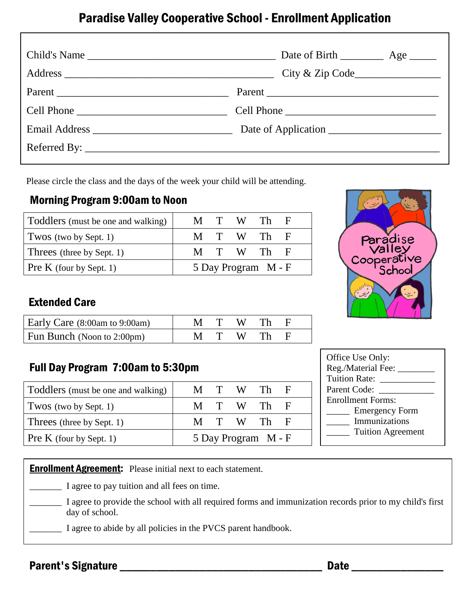# Paradise Valley Cooperative School - Enrollment Application

| Child's Name |        |
|--------------|--------|
|              |        |
|              | Parent |
|              |        |
|              |        |
|              |        |

Please circle the class and the days of the week your child will be attending.

### Morning Program 9:00am to Noon

| Toddlers (must be one and walking) |  |  | M T W Th F          |  |
|------------------------------------|--|--|---------------------|--|
| Twos (two by Sept. 1)              |  |  | M T W Th F          |  |
| Threes (three by Sept. 1)          |  |  | M T W Th F          |  |
| $\rm Pre K$ (four by Sept. 1)      |  |  | 5 Day Program M - F |  |



# Extended Care

-

| Early Care (8:00am to 9:00am) |  | M T W Th |  |  |
|-------------------------------|--|----------|--|--|
| Fun Bunch (Noon to 2:00pm)    |  | M T W Th |  |  |

# Full Day Program 7:00am to 5:30pm

| Toddlers (must be one and walking) |  |  | M T W Th F          |  |
|------------------------------------|--|--|---------------------|--|
| Twos (two by Sept. 1)              |  |  | M T W Th F          |  |
| Threes (three by Sept. 1)          |  |  | M T W Th F          |  |
| $\rm Pre K$ (four by Sept. 1)      |  |  | 5 Day Program M - F |  |

| Office Use Only:<br>Reg./Material Fee: _ |
|------------------------------------------|
| <b>Tuition Rate:</b>                     |
| Parent Code:                             |
| <b>Enrollment Forms:</b>                 |
| <b>Emergency Form</b>                    |
| Immunizations                            |
|                                          |
| <b>Tuition Agreement</b>                 |

**Enrollment Agreement:** Please initial next to each statement. \_\_\_\_\_\_\_ I agree to pay tuition and all fees on time. \_\_\_\_\_\_\_ I agree to provide the school with all required forms and immunization records prior to my child's first day of school. I agree to abide by all policies in the PVCS parent handbook.

### Parent's Signature \_\_\_\_\_\_\_\_\_\_\_\_\_\_\_\_\_\_\_\_\_\_\_\_\_\_\_\_\_\_\_\_\_ Date \_\_\_\_\_\_\_\_\_\_\_\_\_\_\_